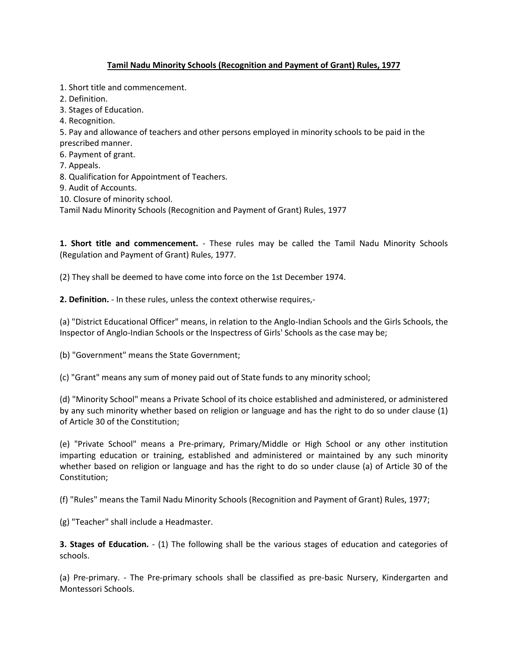# **Tamil Nadu Minority Schools (Recognition and Payment of Grant) Rules, 1977**

- 1. Short title and commencement.
- 2. Definition.
- 3. Stages of Education.
- 4. Recognition.

5. Pay and allowance of teachers and other persons employed in minority schools to be paid in the prescribed manner.

- 6. Payment of grant.
- 7. Appeals.
- 8. Qualification for Appointment of Teachers.
- 9. Audit of Accounts.
- 10. Closure of minority school.

Tamil Nadu Minority Schools (Recognition and Payment of Grant) Rules, 1977

**1. Short title and commencement.** - These rules may be called the Tamil Nadu Minority Schools (Regulation and Payment of Grant) Rules, 1977.

(2) They shall be deemed to have come into force on the 1st December 1974.

**2. Definition.** - In these rules, unless the context otherwise requires,-

(a) "District Educational Officer" means, in relation to the Anglo-Indian Schools and the Girls Schools, the Inspector of Anglo-Indian Schools or the Inspectress of Girls' Schools as the case may be;

(b) "Government" means the State Government;

(c) "Grant" means any sum of money paid out of State funds to any minority school;

(d) "Minority School" means a Private School of its choice established and administered, or administered by any such minority whether based on religion or language and has the right to do so under clause (1) of Article 30 of the Constitution;

(e) "Private School" means a Pre-primary, Primary/Middle or High School or any other institution imparting education or training, established and administered or maintained by any such minority whether based on religion or language and has the right to do so under clause (a) of Article 30 of the Constitution;

(f) "Rules" means the Tamil Nadu Minority Schools (Recognition and Payment of Grant) Rules, 1977;

(g) "Teacher" shall include a Headmaster.

**3. Stages of Education.** - (1) The following shall be the various stages of education and categories of schools.

(a) Pre-primary. - The Pre-primary schools shall be classified as pre-basic Nursery, Kindergarten and Montessori Schools.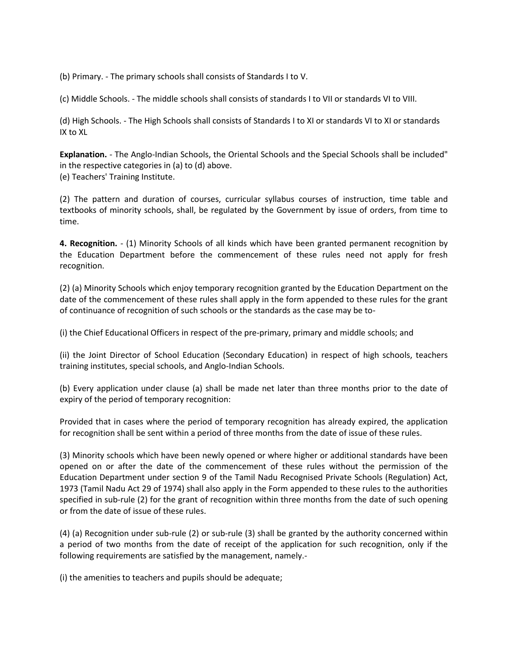(b) Primary. - The primary schools shall consists of Standards I to V.

(c) Middle Schools. - The middle schools shall consists of standards I to VII or standards VI to VIII.

(d) High Schools. - The High Schools shall consists of Standards I to XI or standards VI to XI or standards IX to XL

**Explanation.** - The Anglo-Indian Schools, the Oriental Schools and the Special Schools shall be included" in the respective categories in (a) to (d) above. (e) Teachers' Training Institute.

(2) The pattern and duration of courses, curricular syllabus courses of instruction, time table and textbooks of minority schools, shall, be regulated by the Government by issue of orders, from time to time.

**4. Recognition.** - (1) Minority Schools of all kinds which have been granted permanent recognition by the Education Department before the commencement of these rules need not apply for fresh recognition.

(2) (a) Minority Schools which enjoy temporary recognition granted by the Education Department on the date of the commencement of these rules shall apply in the form appended to these rules for the grant of continuance of recognition of such schools or the standards as the case may be to-

(i) the Chief Educational Officers in respect of the pre-primary, primary and middle schools; and

(ii) the Joint Director of School Education (Secondary Education) in respect of high schools, teachers training institutes, special schools, and Anglo-Indian Schools.

(b) Every application under clause (a) shall be made net later than three months prior to the date of expiry of the period of temporary recognition:

Provided that in cases where the period of temporary recognition has already expired, the application for recognition shall be sent within a period of three months from the date of issue of these rules.

(3) Minority schools which have been newly opened or where higher or additional standards have been opened on or after the date of the commencement of these rules without the permission of the Education Department under section 9 of the Tamil Nadu Recognised Private Schools (Regulation) Act, 1973 (Tamil Nadu Act 29 of 1974) shall also apply in the Form appended to these rules to the authorities specified in sub-rule (2) for the grant of recognition within three months from the date of such opening or from the date of issue of these rules.

(4) (a) Recognition under sub-rule (2) or sub-rule (3) shall be granted by the authority concerned within a period of two months from the date of receipt of the application for such recognition, only if the following requirements are satisfied by the management, namely.-

(i) the amenities to teachers and pupils should be adequate;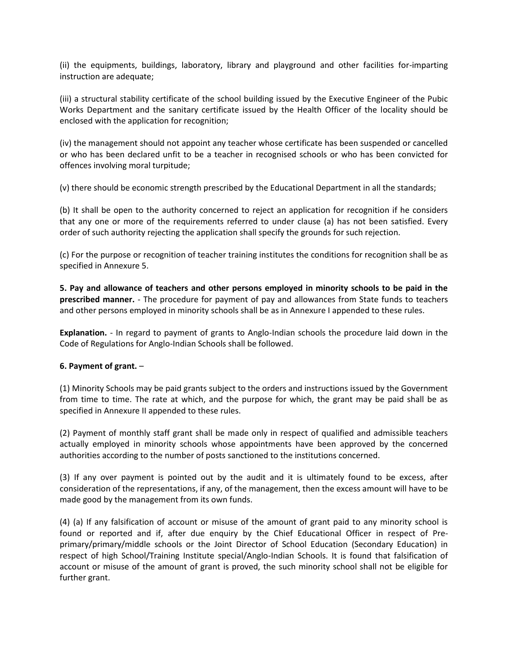(ii) the equipments, buildings, laboratory, library and playground and other facilities for-imparting instruction are adequate;

(iii) a structural stability certificate of the school building issued by the Executive Engineer of the Pubic Works Department and the sanitary certificate issued by the Health Officer of the locality should be enclosed with the application for recognition;

(iv) the management should not appoint any teacher whose certificate has been suspended or cancelled or who has been declared unfit to be a teacher in recognised schools or who has been convicted for offences involving moral turpitude;

(v) there should be economic strength prescribed by the Educational Department in all the standards;

(b) It shall be open to the authority concerned to reject an application for recognition if he considers that any one or more of the requirements referred to under clause (a) has not been satisfied. Every order of such authority rejecting the application shall specify the grounds for such rejection.

(c) For the purpose or recognition of teacher training institutes the conditions for recognition shall be as specified in Annexure 5.

**5. Pay and allowance of teachers and other persons employed in minority schools to be paid in the prescribed manner.** - The procedure for payment of pay and allowances from State funds to teachers and other persons employed in minority schools shall be as in Annexure I appended to these rules.

**Explanation.** - In regard to payment of grants to Anglo-Indian schools the procedure laid down in the Code of Regulations for Anglo-Indian Schools shall be followed.

## **6. Payment of grant.** –

(1) Minority Schools may be paid grants subject to the orders and instructions issued by the Government from time to time. The rate at which, and the purpose for which, the grant may be paid shall be as specified in Annexure II appended to these rules.

(2) Payment of monthly staff grant shall be made only in respect of qualified and admissible teachers actually employed in minority schools whose appointments have been approved by the concerned authorities according to the number of posts sanctioned to the institutions concerned.

(3) If any over payment is pointed out by the audit and it is ultimately found to be excess, after consideration of the representations, if any, of the management, then the excess amount will have to be made good by the management from its own funds.

(4) (a) If any falsification of account or misuse of the amount of grant paid to any minority school is found or reported and if, after due enquiry by the Chief Educational Officer in respect of Preprimary/primary/middle schools or the Joint Director of School Education (Secondary Education) in respect of high School/Training Institute special/Anglo-Indian Schools. It is found that falsification of account or misuse of the amount of grant is proved, the such minority school shall not be eligible for further grant.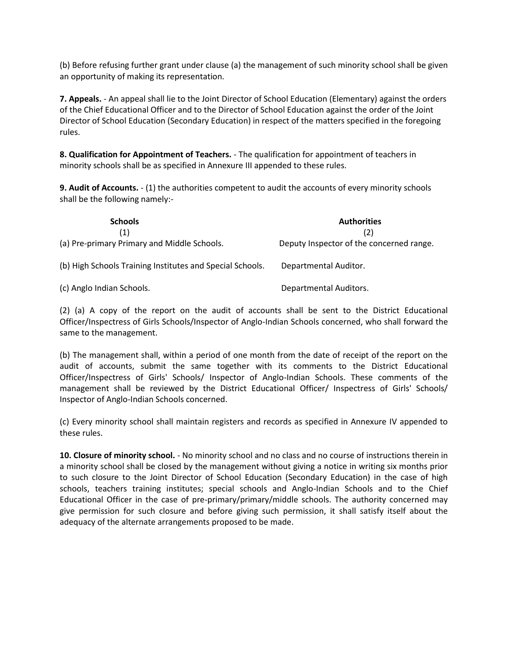(b) Before refusing further grant under clause (a) the management of such minority school shall be given an opportunity of making its representation.

**7. Appeals.** - An appeal shall lie to the Joint Director of School Education (Elementary) against the orders of the Chief Educational Officer and to the Director of School Education against the order of the Joint Director of School Education (Secondary Education) in respect of the matters specified in the foregoing rules.

**8. Qualification for Appointment of Teachers.** - The qualification for appointment of teachers in minority schools shall be as specified in Annexure III appended to these rules.

**9. Audit of Accounts.** - (1) the authorities competent to audit the accounts of every minority schools shall be the following namely:-

| <b>Schools</b>                                            | <b>Authorities</b>                       |
|-----------------------------------------------------------|------------------------------------------|
| (1)                                                       | (2)                                      |
| (a) Pre-primary Primary and Middle Schools.               | Deputy Inspector of the concerned range. |
| (b) High Schools Training Institutes and Special Schools. | Departmental Auditor.                    |
| (c) Anglo Indian Schools.                                 | Departmental Auditors.                   |

(2) (a) A copy of the report on the audit of accounts shall be sent to the District Educational Officer/Inspectress of Girls Schools/Inspector of Anglo-Indian Schools concerned, who shall forward the same to the management.

(b) The management shall, within a period of one month from the date of receipt of the report on the audit of accounts, submit the same together with its comments to the District Educational Officer/Inspectress of Girls' Schools/ Inspector of Anglo-Indian Schools. These comments of the management shall be reviewed by the District Educational Officer/ Inspectress of Girls' Schools/ Inspector of Anglo-Indian Schools concerned.

(c) Every minority school shall maintain registers and records as specified in Annexure IV appended to these rules.

**10. Closure of minority school.** - No minority school and no class and no course of instructions therein in a minority school shall be closed by the management without giving a notice in writing six months prior to such closure to the Joint Director of School Education (Secondary Education) in the case of high schools, teachers training institutes; special schools and Anglo-Indian Schools and to the Chief Educational Officer in the case of pre-primary/primary/middle schools. The authority concerned may give permission for such closure and before giving such permission, it shall satisfy itself about the adequacy of the alternate arrangements proposed to be made.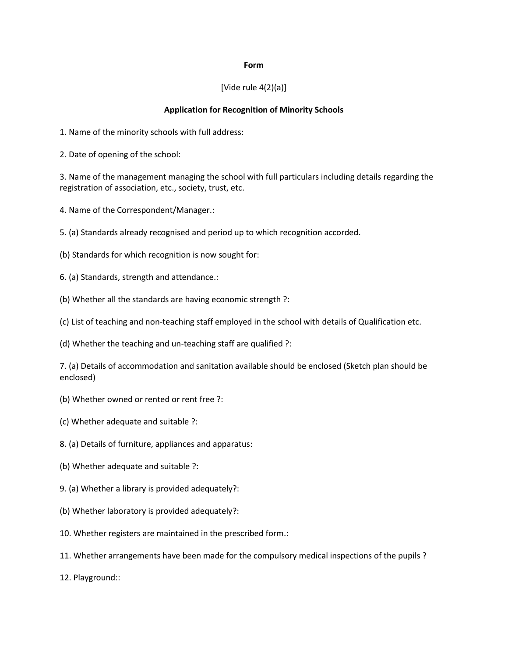### **Form**

### [Vide rule 4(2)(a)]

### **Application for Recognition of Minority Schools**

1. Name of the minority schools with full address:

2. Date of opening of the school:

3. Name of the management managing the school with full particulars including details regarding the registration of association, etc., society, trust, etc.

4. Name of the Correspondent/Manager.:

5. (a) Standards already recognised and period up to which recognition accorded.

(b) Standards for which recognition is now sought for:

- 6. (a) Standards, strength and attendance.:
- (b) Whether all the standards are having economic strength ?:
- (c) List of teaching and non-teaching staff employed in the school with details of Qualification etc.
- (d) Whether the teaching and un-teaching staff are qualified ?:

7. (a) Details of accommodation and sanitation available should be enclosed (Sketch plan should be enclosed)

- (b) Whether owned or rented or rent free ?:
- (c) Whether adequate and suitable ?:
- 8. (a) Details of furniture, appliances and apparatus:
- (b) Whether adequate and suitable ?:
- 9. (a) Whether a library is provided adequately?:
- (b) Whether laboratory is provided adequately?:
- 10. Whether registers are maintained in the prescribed form.:
- 11. Whether arrangements have been made for the compulsory medical inspections of the pupils ?
- 12. Playground::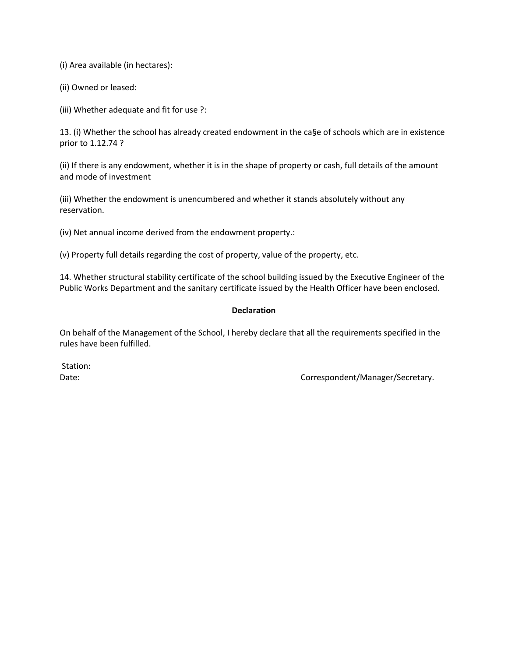(i) Area available (in hectares):

(ii) Owned or leased:

(iii) Whether adequate and fit for use ?:

13. (i) Whether the school has already created endowment in the ca§e of schools which are in existence prior to 1.12.74 ?

(ii) If there is any endowment, whether it is in the shape of property or cash, full details of the amount and mode of investment

(iii) Whether the endowment is unencumbered and whether it stands absolutely without any reservation.

(iv) Net annual income derived from the endowment property.:

(v) Property full details regarding the cost of property, value of the property, etc.

14. Whether structural stability certificate of the school building issued by the Executive Engineer of the Public Works Department and the sanitary certificate issued by the Health Officer have been enclosed.

### **Declaration**

On behalf of the Management of the School, I hereby declare that all the requirements specified in the rules have been fulfilled.

Station:

Date: Correspondent/Manager/Secretary.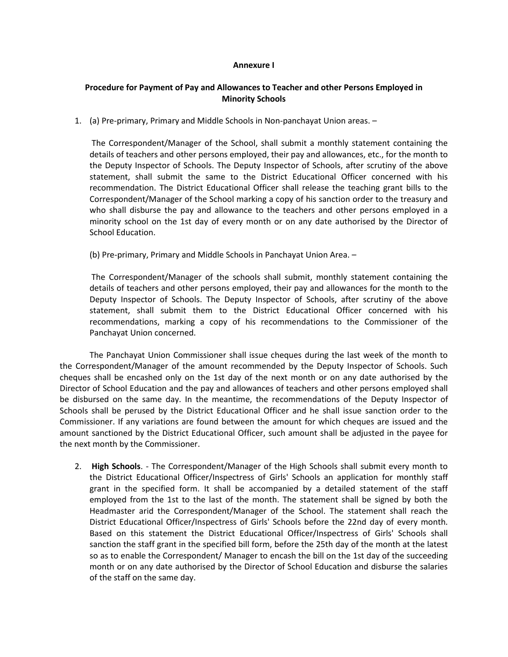#### **Annexure I**

# **Procedure for Payment of Pay and Allowances to Teacher and other Persons Employed in Minority Schools**

1. (a) Pre-primary, Primary and Middle Schools in Non-panchayat Union areas. –

The Correspondent/Manager of the School, shall submit a monthly statement containing the details of teachers and other persons employed, their pay and allowances, etc., for the month to the Deputy Inspector of Schools. The Deputy Inspector of Schools, after scrutiny of the above statement, shall submit the same to the District Educational Officer concerned with his recommendation. The District Educational Officer shall release the teaching grant bills to the Correspondent/Manager of the School marking a copy of his sanction order to the treasury and who shall disburse the pay and allowance to the teachers and other persons employed in a minority school on the 1st day of every month or on any date authorised by the Director of School Education.

(b) Pre-primary, Primary and Middle Schools in Panchayat Union Area. –

The Correspondent/Manager of the schools shall submit, monthly statement containing the details of teachers and other persons employed, their pay and allowances for the month to the Deputy Inspector of Schools. The Deputy Inspector of Schools, after scrutiny of the above statement, shall submit them to the District Educational Officer concerned with his recommendations, marking a copy of his recommendations to the Commissioner of the Panchayat Union concerned.

The Panchayat Union Commissioner shall issue cheques during the last week of the month to the Correspondent/Manager of the amount recommended by the Deputy Inspector of Schools. Such cheques shall be encashed only on the 1st day of the next month or on any date authorised by the Director of School Education and the pay and allowances of teachers and other persons employed shall be disbursed on the same day. In the meantime, the recommendations of the Deputy Inspector of Schools shall be perused by the District Educational Officer and he shall issue sanction order to the Commissioner. If any variations are found between the amount for which cheques are issued and the amount sanctioned by the District Educational Officer, such amount shall be adjusted in the payee for the next month by the Commissioner.

2. **High Schools**. - The Correspondent/Manager of the High Schools shall submit every month to the District Educational Officer/Inspectress of Girls' Schools an application for monthly staff grant in the specified form. It shall be accompanied by a detailed statement of the staff employed from the 1st to the last of the month. The statement shall be signed by both the Headmaster arid the Correspondent/Manager of the School. The statement shall reach the District Educational Officer/Inspectress of Girls' Schools before the 22nd day of every month. Based on this statement the District Educational Officer/Inspectress of Girls' Schools shall sanction the staff grant in the specified bill form, before the 25th day of the month at the latest so as to enable the Correspondent/ Manager to encash the bill on the 1st day of the succeeding month or on any date authorised by the Director of School Education and disburse the salaries of the staff on the same day.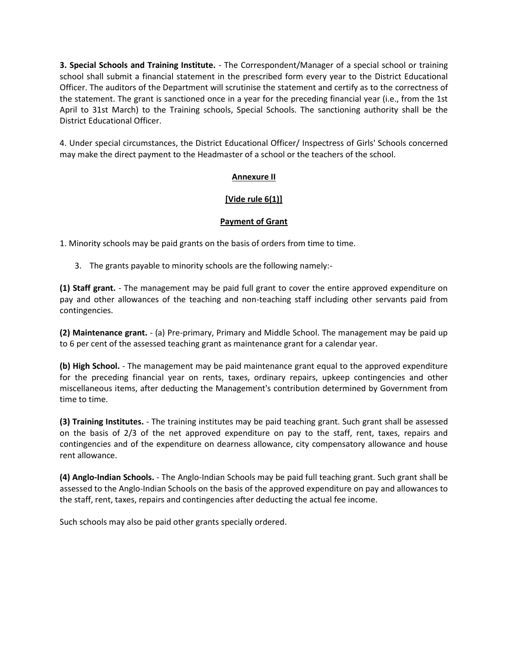**3. Special Schools and Training Institute.** - The Correspondent/Manager of a special school or training school shall submit a financial statement in the prescribed form every year to the District Educational Officer. The auditors of the Department will scrutinise the statement and certify as to the correctness of the statement. The grant is sanctioned once in a year for the preceding financial year (i.e., from the 1st April to 31st March) to the Training schools, Special Schools. The sanctioning authority shall be the District Educational Officer.

4. Under special circumstances, the District Educational Officer/ Inspectress of Girls' Schools concerned may make the direct payment to the Headmaster of a school or the teachers of the school.

# **Annexure II**

# **[Vide rule 6(1)]**

# **Payment of Grant**

1. Minority schools may be paid grants on the basis of orders from time to time.

3. The grants payable to minority schools are the following namely:-

**(1) Staff grant.** - The management may be paid full grant to cover the entire approved expenditure on pay and other allowances of the teaching and non-teaching staff including other servants paid from contingencies.

**(2) Maintenance grant.** - (a) Pre-primary, Primary and Middle School. The management may be paid up to 6 per cent of the assessed teaching grant as maintenance grant for a calendar year.

**(b) High School.** - The management may be paid maintenance grant equal to the approved expenditure for the preceding financial year on rents, taxes, ordinary repairs, upkeep contingencies and other miscellaneous items, after deducting the Management's contribution determined by Government from time to time.

**(3) Training Institutes.** - The training institutes may be paid teaching grant. Such grant shall be assessed on the basis of 2/3 of the net approved expenditure on pay to the staff, rent, taxes, repairs and contingencies and of the expenditure on dearness allowance, city compensatory allowance and house rent allowance.

**(4) Anglo-Indian Schools.** - The Anglo-Indian Schools may be paid full teaching grant. Such grant shall be assessed to the Anglo-Indian Schools on the basis of the approved expenditure on pay and allowances to the staff, rent, taxes, repairs and contingencies after deducting the actual fee income.

Such schools may also be paid other grants specially ordered.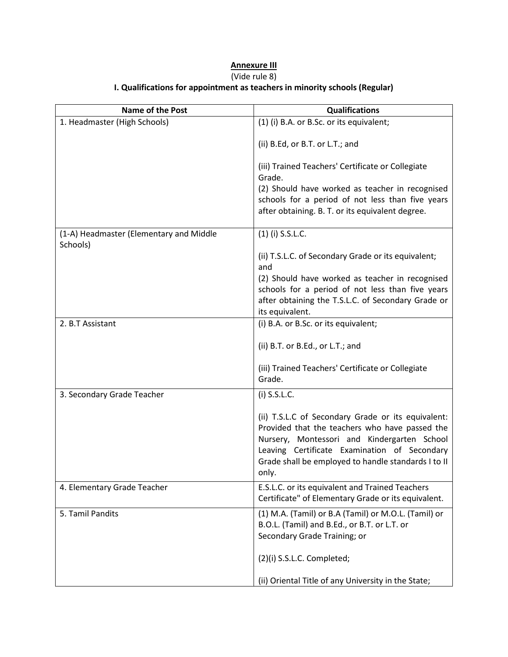# **Annexure III**

# (Vide rule 8)

# **I. Qualifications for appointment as teachers in minority schools (Regular)**

| Name of the Post                                    | <b>Qualifications</b>                                                                                                                                                                                                                                               |
|-----------------------------------------------------|---------------------------------------------------------------------------------------------------------------------------------------------------------------------------------------------------------------------------------------------------------------------|
| 1. Headmaster (High Schools)                        | (1) (i) B.A. or B.Sc. or its equivalent;                                                                                                                                                                                                                            |
|                                                     | (ii) B.Ed, or B.T. or L.T.; and                                                                                                                                                                                                                                     |
|                                                     | (iii) Trained Teachers' Certificate or Collegiate<br>Grade.                                                                                                                                                                                                         |
|                                                     | (2) Should have worked as teacher in recognised                                                                                                                                                                                                                     |
|                                                     | schools for a period of not less than five years                                                                                                                                                                                                                    |
|                                                     | after obtaining. B. T. or its equivalent degree.                                                                                                                                                                                                                    |
| (1-A) Headmaster (Elementary and Middle<br>Schools) | $(1)$ (i) S.S.L.C.                                                                                                                                                                                                                                                  |
|                                                     | (ii) T.S.L.C. of Secondary Grade or its equivalent;<br>and                                                                                                                                                                                                          |
|                                                     | (2) Should have worked as teacher in recognised                                                                                                                                                                                                                     |
|                                                     | schools for a period of not less than five years<br>after obtaining the T.S.L.C. of Secondary Grade or                                                                                                                                                              |
|                                                     | its equivalent.                                                                                                                                                                                                                                                     |
| 2. B.T Assistant                                    | (i) B.A. or B.Sc. or its equivalent;                                                                                                                                                                                                                                |
|                                                     |                                                                                                                                                                                                                                                                     |
|                                                     | (ii) B.T. or B.Ed., or L.T.; and                                                                                                                                                                                                                                    |
|                                                     | (iii) Trained Teachers' Certificate or Collegiate                                                                                                                                                                                                                   |
|                                                     | Grade.                                                                                                                                                                                                                                                              |
| 3. Secondary Grade Teacher                          | $(i)$ S.S.L.C.                                                                                                                                                                                                                                                      |
|                                                     | (ii) T.S.L.C of Secondary Grade or its equivalent:<br>Provided that the teachers who have passed the<br>Nursery, Montessori and Kindergarten School<br>Leaving Certificate Examination of Secondary<br>Grade shall be employed to handle standards I to II<br>only. |
| 4. Elementary Grade Teacher                         | E.S.L.C. or its equivalent and Trained Teachers<br>Certificate" of Elementary Grade or its equivalent.                                                                                                                                                              |
| 5. Tamil Pandits                                    | (1) M.A. (Tamil) or B.A (Tamil) or M.O.L. (Tamil) or<br>B.O.L. (Tamil) and B.Ed., or B.T. or L.T. or<br>Secondary Grade Training; or                                                                                                                                |
|                                                     | (2)(i) S.S.L.C. Completed;                                                                                                                                                                                                                                          |
|                                                     | (ii) Oriental Title of any University in the State;                                                                                                                                                                                                                 |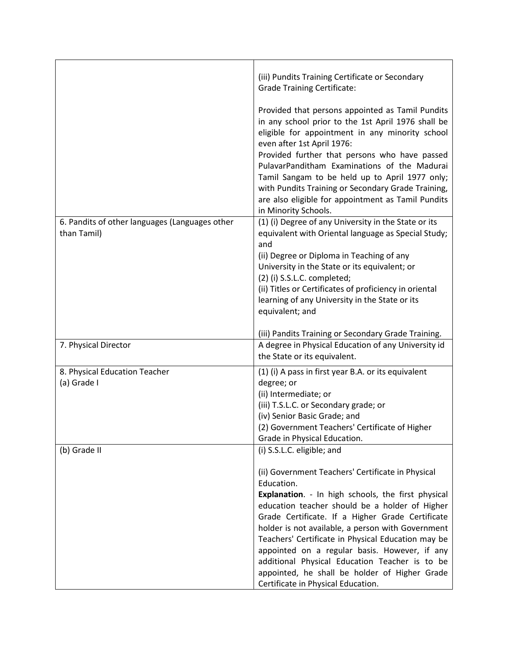|                                                               | (iii) Pundits Training Certificate or Secondary<br><b>Grade Training Certificate:</b>                                                                                                                                                                                                                                                                                                                                                                                                                                                                          |
|---------------------------------------------------------------|----------------------------------------------------------------------------------------------------------------------------------------------------------------------------------------------------------------------------------------------------------------------------------------------------------------------------------------------------------------------------------------------------------------------------------------------------------------------------------------------------------------------------------------------------------------|
|                                                               | Provided that persons appointed as Tamil Pundits<br>in any school prior to the 1st April 1976 shall be<br>eligible for appointment in any minority school<br>even after 1st April 1976:<br>Provided further that persons who have passed<br>PulavarPanditham Examinations of the Madurai<br>Tamil Sangam to be held up to April 1977 only;<br>with Pundits Training or Secondary Grade Training,<br>are also eligible for appointment as Tamil Pundits<br>in Minority Schools.                                                                                 |
| 6. Pandits of other languages (Languages other<br>than Tamil) | (1) (i) Degree of any University in the State or its<br>equivalent with Oriental language as Special Study;<br>and<br>(ii) Degree or Diploma in Teaching of any<br>University in the State or its equivalent; or<br>(2) (i) S.S.L.C. completed;<br>(ii) Titles or Certificates of proficiency in oriental<br>learning of any University in the State or its<br>equivalent; and                                                                                                                                                                                 |
| 7. Physical Director                                          | (iii) Pandits Training or Secondary Grade Training.<br>A degree in Physical Education of any University id<br>the State or its equivalent.                                                                                                                                                                                                                                                                                                                                                                                                                     |
| 8. Physical Education Teacher<br>(a) Grade I                  | (1) (i) A pass in first year B.A. or its equivalent<br>degree; or<br>(ii) Intermediate; or<br>(iii) T.S.L.C. or Secondary grade; or<br>(iv) Senior Basic Grade; and<br>(2) Government Teachers' Certificate of Higher<br>Grade in Physical Education.                                                                                                                                                                                                                                                                                                          |
| (b) Grade II                                                  | (i) S.S.L.C. eligible; and<br>(ii) Government Teachers' Certificate in Physical<br>Education.<br>Explanation. - In high schools, the first physical<br>education teacher should be a holder of Higher<br>Grade Certificate. If a Higher Grade Certificate<br>holder is not available, a person with Government<br>Teachers' Certificate in Physical Education may be<br>appointed on a regular basis. However, if any<br>additional Physical Education Teacher is to be<br>appointed, he shall be holder of Higher Grade<br>Certificate in Physical Education. |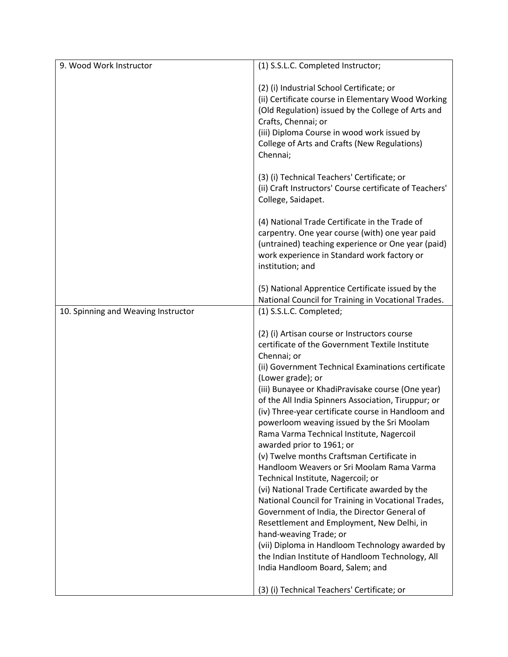| 9. Wood Work Instructor             | (1) S.S.L.C. Completed Instructor;                                                                                                                                                                                                                                                                                                                                                                                                                                                                                                                                                                                                                                                                                                                                                                                                                                                                                                                                                                                                              |
|-------------------------------------|-------------------------------------------------------------------------------------------------------------------------------------------------------------------------------------------------------------------------------------------------------------------------------------------------------------------------------------------------------------------------------------------------------------------------------------------------------------------------------------------------------------------------------------------------------------------------------------------------------------------------------------------------------------------------------------------------------------------------------------------------------------------------------------------------------------------------------------------------------------------------------------------------------------------------------------------------------------------------------------------------------------------------------------------------|
|                                     | (2) (i) Industrial School Certificate; or<br>(ii) Certificate course in Elementary Wood Working<br>(Old Regulation) issued by the College of Arts and<br>Crafts, Chennai; or<br>(iii) Diploma Course in wood work issued by<br>College of Arts and Crafts (New Regulations)<br>Chennai;                                                                                                                                                                                                                                                                                                                                                                                                                                                                                                                                                                                                                                                                                                                                                         |
|                                     | (3) (i) Technical Teachers' Certificate; or<br>(ii) Craft Instructors' Course certificate of Teachers'<br>College, Saidapet.                                                                                                                                                                                                                                                                                                                                                                                                                                                                                                                                                                                                                                                                                                                                                                                                                                                                                                                    |
|                                     | (4) National Trade Certificate in the Trade of<br>carpentry. One year course (with) one year paid<br>(untrained) teaching experience or One year (paid)<br>work experience in Standard work factory or<br>institution; and                                                                                                                                                                                                                                                                                                                                                                                                                                                                                                                                                                                                                                                                                                                                                                                                                      |
|                                     | (5) National Apprentice Certificate issued by the<br>National Council for Training in Vocational Trades.                                                                                                                                                                                                                                                                                                                                                                                                                                                                                                                                                                                                                                                                                                                                                                                                                                                                                                                                        |
| 10. Spinning and Weaving Instructor | (1) S.S.L.C. Completed;                                                                                                                                                                                                                                                                                                                                                                                                                                                                                                                                                                                                                                                                                                                                                                                                                                                                                                                                                                                                                         |
|                                     | (2) (i) Artisan course or Instructors course<br>certificate of the Government Textile Institute<br>Chennai; or<br>(ii) Government Technical Examinations certificate<br>(Lower grade); or<br>(iii) Bunayee or KhadiPravisake course (One year)<br>of the All India Spinners Association, Tiruppur; or<br>(iv) Three-year certificate course in Handloom and<br>powerloom weaving issued by the Sri Moolam<br>Rama Varma Technical Institute, Nagercoil<br>awarded prior to 1961; or<br>(v) Twelve months Craftsman Certificate in<br>Handloom Weavers or Sri Moolam Rama Varma<br>Technical Institute, Nagercoil; or<br>(vi) National Trade Certificate awarded by the<br>National Council for Training in Vocational Trades,<br>Government of India, the Director General of<br>Resettlement and Employment, New Delhi, in<br>hand-weaving Trade; or<br>(vii) Diploma in Handloom Technology awarded by<br>the Indian Institute of Handloom Technology, All<br>India Handloom Board, Salem; and<br>(3) (i) Technical Teachers' Certificate; or |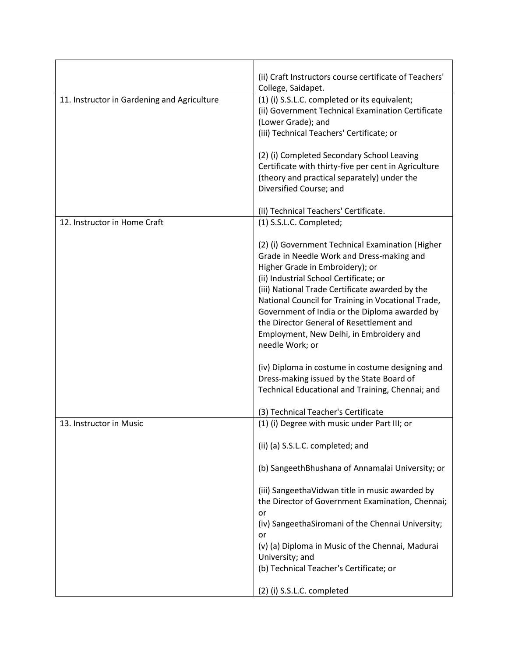|                                             | (ii) Craft Instructors course certificate of Teachers'<br>College, Saidapet.                                                                                                                                                                                                                                                                                                                                                                    |
|---------------------------------------------|-------------------------------------------------------------------------------------------------------------------------------------------------------------------------------------------------------------------------------------------------------------------------------------------------------------------------------------------------------------------------------------------------------------------------------------------------|
| 11. Instructor in Gardening and Agriculture | (1) (i) S.S.L.C. completed or its equivalent;<br>(ii) Government Technical Examination Certificate<br>(Lower Grade); and<br>(iii) Technical Teachers' Certificate; or                                                                                                                                                                                                                                                                           |
|                                             | (2) (i) Completed Secondary School Leaving<br>Certificate with thirty-five per cent in Agriculture<br>(theory and practical separately) under the<br>Diversified Course; and                                                                                                                                                                                                                                                                    |
|                                             | (ii) Technical Teachers' Certificate.                                                                                                                                                                                                                                                                                                                                                                                                           |
| 12. Instructor in Home Craft                | (1) S.S.L.C. Completed;                                                                                                                                                                                                                                                                                                                                                                                                                         |
|                                             | (2) (i) Government Technical Examination (Higher<br>Grade in Needle Work and Dress-making and<br>Higher Grade in Embroidery); or<br>(ii) Industrial School Certificate; or<br>(iii) National Trade Certificate awarded by the<br>National Council for Training in Vocational Trade,<br>Government of India or the Diploma awarded by<br>the Director General of Resettlement and<br>Employment, New Delhi, in Embroidery and<br>needle Work; or |
|                                             | (iv) Diploma in costume in costume designing and<br>Dress-making issued by the State Board of<br>Technical Educational and Training, Chennai; and                                                                                                                                                                                                                                                                                               |
|                                             | (3) Technical Teacher's Certificate                                                                                                                                                                                                                                                                                                                                                                                                             |
| 13. Instructor in Music                     | (1) (i) Degree with music under Part III; or                                                                                                                                                                                                                                                                                                                                                                                                    |
|                                             | (ii) (a) S.S.L.C. completed; and                                                                                                                                                                                                                                                                                                                                                                                                                |
|                                             | (b) SangeethBhushana of Annamalai University; or                                                                                                                                                                                                                                                                                                                                                                                                |
|                                             | (iii) SangeethaVidwan title in music awarded by<br>the Director of Government Examination, Chennai;                                                                                                                                                                                                                                                                                                                                             |
|                                             | or<br>(iv) SangeethaSiromani of the Chennai University;                                                                                                                                                                                                                                                                                                                                                                                         |
|                                             | or                                                                                                                                                                                                                                                                                                                                                                                                                                              |
|                                             | (v) (a) Diploma in Music of the Chennai, Madurai<br>University; and                                                                                                                                                                                                                                                                                                                                                                             |
|                                             | (b) Technical Teacher's Certificate; or                                                                                                                                                                                                                                                                                                                                                                                                         |
|                                             | (2) (i) S.S.L.C. completed                                                                                                                                                                                                                                                                                                                                                                                                                      |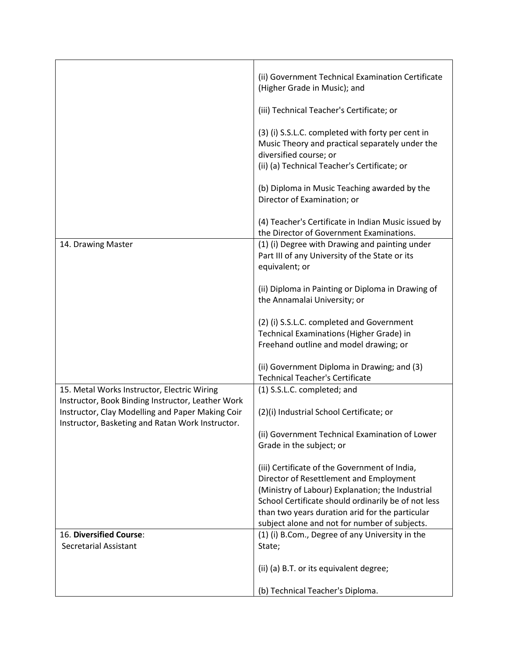|                                                                                                                                                           | (ii) Government Technical Examination Certificate<br>(Higher Grade in Music); and                                                                                                                                                                                                                       |
|-----------------------------------------------------------------------------------------------------------------------------------------------------------|---------------------------------------------------------------------------------------------------------------------------------------------------------------------------------------------------------------------------------------------------------------------------------------------------------|
|                                                                                                                                                           | (iii) Technical Teacher's Certificate; or                                                                                                                                                                                                                                                               |
|                                                                                                                                                           | (3) (i) S.S.L.C. completed with forty per cent in<br>Music Theory and practical separately under the<br>diversified course; or<br>(ii) (a) Technical Teacher's Certificate; or                                                                                                                          |
|                                                                                                                                                           | (b) Diploma in Music Teaching awarded by the<br>Director of Examination; or                                                                                                                                                                                                                             |
|                                                                                                                                                           | (4) Teacher's Certificate in Indian Music issued by<br>the Director of Government Examinations.                                                                                                                                                                                                         |
| 14. Drawing Master                                                                                                                                        | (1) (i) Degree with Drawing and painting under<br>Part III of any University of the State or its<br>equivalent; or                                                                                                                                                                                      |
|                                                                                                                                                           | (ii) Diploma in Painting or Diploma in Drawing of<br>the Annamalai University; or                                                                                                                                                                                                                       |
|                                                                                                                                                           | (2) (i) S.S.L.C. completed and Government<br>Technical Examinations (Higher Grade) in<br>Freehand outline and model drawing; or                                                                                                                                                                         |
|                                                                                                                                                           | (ii) Government Diploma in Drawing; and (3)<br><b>Technical Teacher's Certificate</b>                                                                                                                                                                                                                   |
| 15. Metal Works Instructor, Electric Wiring                                                                                                               | (1) S.S.L.C. completed; and                                                                                                                                                                                                                                                                             |
| Instructor, Book Binding Instructor, Leather Work<br>Instructor, Clay Modelling and Paper Making Coir<br>Instructor, Basketing and Ratan Work Instructor. | (2)(i) Industrial School Certificate; or                                                                                                                                                                                                                                                                |
|                                                                                                                                                           | (ii) Government Technical Examination of Lower<br>Grade in the subject; or                                                                                                                                                                                                                              |
|                                                                                                                                                           | (iii) Certificate of the Government of India,<br>Director of Resettlement and Employment<br>(Ministry of Labour) Explanation; the Industrial<br>School Certificate should ordinarily be of not less<br>than two years duration arid for the particular<br>subject alone and not for number of subjects. |
| <b>16. Diversified Course:</b>                                                                                                                            | (1) (i) B.Com., Degree of any University in the                                                                                                                                                                                                                                                         |
| <b>Secretarial Assistant</b>                                                                                                                              | State;                                                                                                                                                                                                                                                                                                  |
|                                                                                                                                                           | (ii) (a) B.T. or its equivalent degree;                                                                                                                                                                                                                                                                 |
|                                                                                                                                                           | (b) Technical Teacher's Diploma.                                                                                                                                                                                                                                                                        |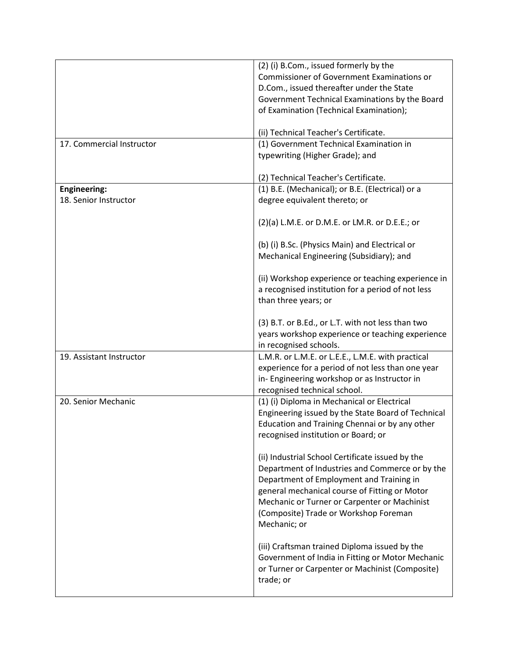|                           | (2) (i) B.Com., issued formerly by the                                                                  |
|---------------------------|---------------------------------------------------------------------------------------------------------|
|                           | <b>Commissioner of Government Examinations or</b>                                                       |
|                           | D.Com., issued thereafter under the State                                                               |
|                           | Government Technical Examinations by the Board                                                          |
|                           | of Examination (Technical Examination);                                                                 |
|                           |                                                                                                         |
|                           | (ii) Technical Teacher's Certificate.                                                                   |
| 17. Commercial Instructor | (1) Government Technical Examination in                                                                 |
|                           | typewriting (Higher Grade); and                                                                         |
|                           | (2) Technical Teacher's Certificate.                                                                    |
| <b>Engineering:</b>       | (1) B.E. (Mechanical); or B.E. (Electrical) or a                                                        |
| 18. Senior Instructor     | degree equivalent thereto; or                                                                           |
|                           | (2)(a) L.M.E. or D.M.E. or LM.R. or D.E.E.; or                                                          |
|                           | (b) (i) B.Sc. (Physics Main) and Electrical or<br>Mechanical Engineering (Subsidiary); and              |
|                           | (ii) Workshop experience or teaching experience in<br>a recognised institution for a period of not less |
|                           | than three years; or                                                                                    |
|                           | (3) B.T. or B.Ed., or L.T. with not less than two                                                       |
|                           | years workshop experience or teaching experience                                                        |
|                           | in recognised schools.                                                                                  |
| 19. Assistant Instructor  | L.M.R. or L.M.E. or L.E.E., L.M.E. with practical                                                       |
|                           | experience for a period of not less than one year                                                       |
|                           | in- Engineering workshop or as Instructor in                                                            |
|                           | recognised technical school.                                                                            |
| 20. Senior Mechanic       | (1) (i) Diploma in Mechanical or Electrical                                                             |
|                           | Engineering issued by the State Board of Technical                                                      |
|                           | Education and Training Chennai or by any other                                                          |
|                           | recognised institution or Board; or                                                                     |
|                           |                                                                                                         |
|                           | (ii) Industrial School Certificate issued by the                                                        |
|                           | Department of Industries and Commerce or by the                                                         |
|                           | Department of Employment and Training in                                                                |
|                           | general mechanical course of Fitting or Motor                                                           |
|                           | Mechanic or Turner or Carpenter or Machinist                                                            |
|                           | (Composite) Trade or Workshop Foreman                                                                   |
|                           | Mechanic; or                                                                                            |
|                           | (iii) Craftsman trained Diploma issued by the                                                           |
|                           | Government of India in Fitting or Motor Mechanic                                                        |
|                           | or Turner or Carpenter or Machinist (Composite)                                                         |
|                           | trade; or                                                                                               |
|                           |                                                                                                         |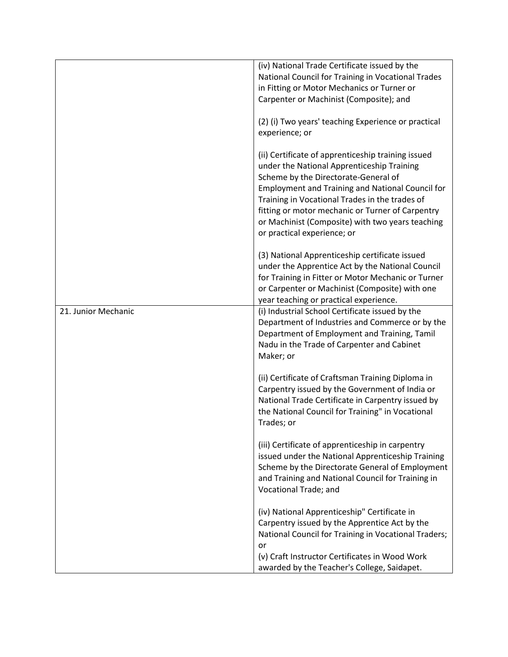|                     | (iv) National Trade Certificate issued by the<br>National Council for Training in Vocational Trades<br>in Fitting or Motor Mechanics or Turner or<br>Carpenter or Machinist (Composite); and                                                                                                                                                                                                 |
|---------------------|----------------------------------------------------------------------------------------------------------------------------------------------------------------------------------------------------------------------------------------------------------------------------------------------------------------------------------------------------------------------------------------------|
|                     | (2) (i) Two years' teaching Experience or practical<br>experience; or                                                                                                                                                                                                                                                                                                                        |
|                     | (ii) Certificate of apprenticeship training issued<br>under the National Apprenticeship Training<br>Scheme by the Directorate-General of<br><b>Employment and Training and National Council for</b><br>Training in Vocational Trades in the trades of<br>fitting or motor mechanic or Turner of Carpentry<br>or Machinist (Composite) with two years teaching<br>or practical experience; or |
|                     | (3) National Apprenticeship certificate issued<br>under the Apprentice Act by the National Council<br>for Training in Fitter or Motor Mechanic or Turner<br>or Carpenter or Machinist (Composite) with one<br>year teaching or practical experience.                                                                                                                                         |
| 21. Junior Mechanic | (i) Industrial School Certificate issued by the<br>Department of Industries and Commerce or by the<br>Department of Employment and Training, Tamil<br>Nadu in the Trade of Carpenter and Cabinet<br>Maker; or                                                                                                                                                                                |
|                     | (ii) Certificate of Craftsman Training Diploma in<br>Carpentry issued by the Government of India or<br>National Trade Certificate in Carpentry issued by<br>the National Council for Training" in Vocational<br>Trades; or                                                                                                                                                                   |
|                     | (iii) Certificate of apprenticeship in carpentry<br>issued under the National Apprenticeship Training<br>Scheme by the Directorate General of Employment<br>and Training and National Council for Training in<br>Vocational Trade; and                                                                                                                                                       |
|                     | (iv) National Apprenticeship" Certificate in<br>Carpentry issued by the Apprentice Act by the<br>National Council for Training in Vocational Traders;<br>or<br>(v) Craft Instructor Certificates in Wood Work                                                                                                                                                                                |
|                     | awarded by the Teacher's College, Saidapet.                                                                                                                                                                                                                                                                                                                                                  |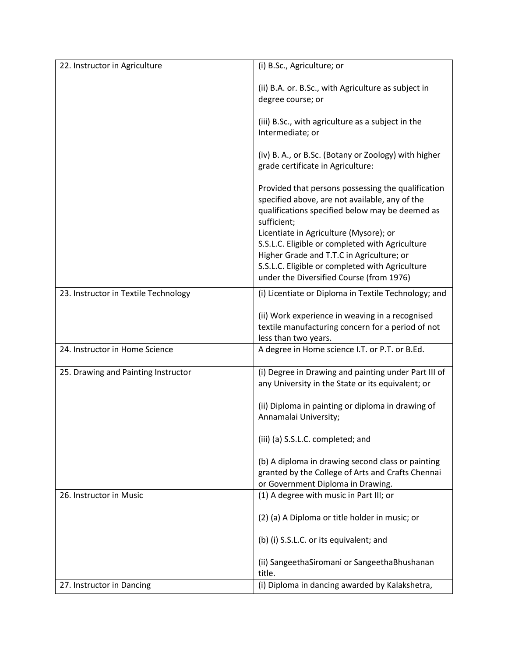| 22. Instructor in Agriculture        | (i) B.Sc., Agriculture; or                                                                                                                                                                                                                                                                                                                                                                                      |
|--------------------------------------|-----------------------------------------------------------------------------------------------------------------------------------------------------------------------------------------------------------------------------------------------------------------------------------------------------------------------------------------------------------------------------------------------------------------|
|                                      | (ii) B.A. or. B.Sc., with Agriculture as subject in<br>degree course; or                                                                                                                                                                                                                                                                                                                                        |
|                                      | (iii) B.Sc., with agriculture as a subject in the<br>Intermediate; or                                                                                                                                                                                                                                                                                                                                           |
|                                      | (iv) B. A., or B.Sc. (Botany or Zoology) with higher<br>grade certificate in Agriculture:                                                                                                                                                                                                                                                                                                                       |
|                                      | Provided that persons possessing the qualification<br>specified above, are not available, any of the<br>qualifications specified below may be deemed as<br>sufficient;<br>Licentiate in Agriculture (Mysore); or<br>S.S.L.C. Eligible or completed with Agriculture<br>Higher Grade and T.T.C in Agriculture; or<br>S.S.L.C. Eligible or completed with Agriculture<br>under the Diversified Course (from 1976) |
| 23. Instructor in Textile Technology | (i) Licentiate or Diploma in Textile Technology; and                                                                                                                                                                                                                                                                                                                                                            |
|                                      | (ii) Work experience in weaving in a recognised<br>textile manufacturing concern for a period of not<br>less than two years.                                                                                                                                                                                                                                                                                    |
| 24. Instructor in Home Science       | A degree in Home science I.T. or P.T. or B.Ed.                                                                                                                                                                                                                                                                                                                                                                  |
| 25. Drawing and Painting Instructor  | (i) Degree in Drawing and painting under Part III of<br>any University in the State or its equivalent; or                                                                                                                                                                                                                                                                                                       |
|                                      | (ii) Diploma in painting or diploma in drawing of<br>Annamalai University;                                                                                                                                                                                                                                                                                                                                      |
|                                      | (iii) (a) S.S.L.C. completed; and                                                                                                                                                                                                                                                                                                                                                                               |
|                                      | (b) A diploma in drawing second class or painting<br>granted by the College of Arts and Crafts Chennai<br>or Government Diploma in Drawing.                                                                                                                                                                                                                                                                     |
| 26. Instructor in Music              | (1) A degree with music in Part III; or                                                                                                                                                                                                                                                                                                                                                                         |
|                                      | (2) (a) A Diploma or title holder in music; or                                                                                                                                                                                                                                                                                                                                                                  |
|                                      | (b) (i) S.S.L.C. or its equivalent; and                                                                                                                                                                                                                                                                                                                                                                         |
|                                      | (ii) SangeethaSiromani or SangeethaBhushanan<br>title.                                                                                                                                                                                                                                                                                                                                                          |
| 27. Instructor in Dancing            | (i) Diploma in dancing awarded by Kalakshetra,                                                                                                                                                                                                                                                                                                                                                                  |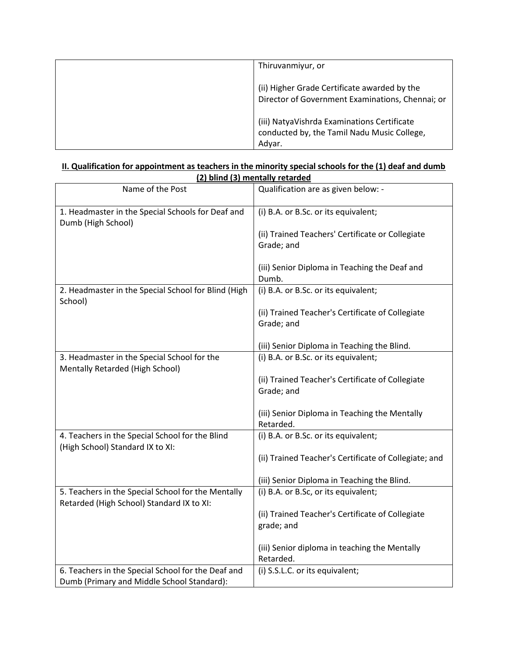| Thiruvanmiyur, or                                                                                    |
|------------------------------------------------------------------------------------------------------|
| (ii) Higher Grade Certificate awarded by the<br>Director of Government Examinations, Chennai; or     |
| (iii) NatyaVishrda Examinations Certificate<br>conducted by, the Tamil Nadu Music College,<br>Adyar. |

# **II. Qualification for appointment as teachers in the minority special schools for the (1) deaf and dumb (2) blind (3) mentally retarded**

| Name of the Post                                                                                | Qualification are as given below: -                            |
|-------------------------------------------------------------------------------------------------|----------------------------------------------------------------|
| 1. Headmaster in the Special Schools for Deaf and<br>Dumb (High School)                         | (i) B.A. or B.Sc. or its equivalent;                           |
|                                                                                                 | (ii) Trained Teachers' Certificate or Collegiate<br>Grade; and |
|                                                                                                 | (iii) Senior Diploma in Teaching the Deaf and<br>Dumb.         |
| 2. Headmaster in the Special School for Blind (High<br>School)                                  | (i) B.A. or B.Sc. or its equivalent;                           |
|                                                                                                 | (ii) Trained Teacher's Certificate of Collegiate<br>Grade; and |
|                                                                                                 | (iii) Senior Diploma in Teaching the Blind.                    |
| 3. Headmaster in the Special School for the<br>Mentally Retarded (High School)                  | (i) B.A. or B.Sc. or its equivalent;                           |
|                                                                                                 | (ii) Trained Teacher's Certificate of Collegiate<br>Grade; and |
|                                                                                                 | (iii) Senior Diploma in Teaching the Mentally<br>Retarded.     |
| 4. Teachers in the Special School for the Blind<br>(High School) Standard IX to XI:             | (i) B.A. or B.Sc. or its equivalent;                           |
|                                                                                                 | (ii) Trained Teacher's Certificate of Collegiate; and          |
|                                                                                                 | (iii) Senior Diploma in Teaching the Blind.                    |
| 5. Teachers in the Special School for the Mentally<br>Retarded (High School) Standard IX to XI: | (i) B.A. or B.Sc, or its equivalent;                           |
|                                                                                                 | (ii) Trained Teacher's Certificate of Collegiate               |
|                                                                                                 | grade; and                                                     |
|                                                                                                 | (iii) Senior diploma in teaching the Mentally<br>Retarded.     |
| 6. Teachers in the Special School for the Deaf and                                              | (i) S.S.L.C. or its equivalent;                                |
| Dumb (Primary and Middle School Standard):                                                      |                                                                |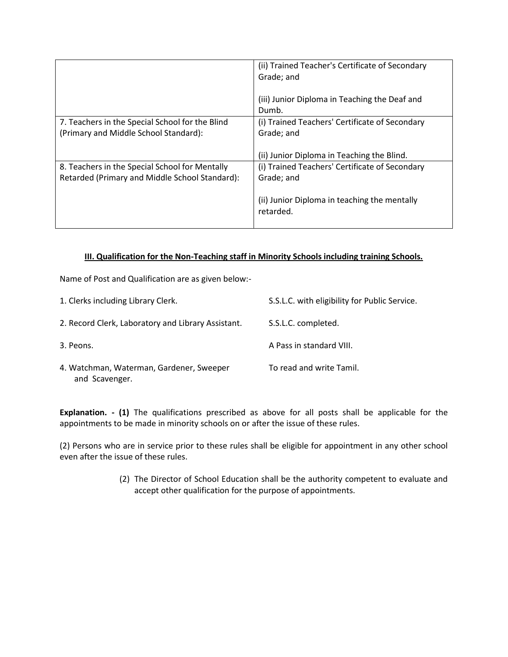|                                                                                                  | (ii) Trained Teacher's Certificate of Secondary<br>Grade; and |
|--------------------------------------------------------------------------------------------------|---------------------------------------------------------------|
|                                                                                                  | (iii) Junior Diploma in Teaching the Deaf and<br>Dumb.        |
| 7. Teachers in the Special School for the Blind<br>(Primary and Middle School Standard):         | (i) Trained Teachers' Certificate of Secondary<br>Grade; and  |
|                                                                                                  | (ii) Junior Diploma in Teaching the Blind.                    |
| 8. Teachers in the Special School for Mentally<br>Retarded (Primary and Middle School Standard): | (i) Trained Teachers' Certificate of Secondary<br>Grade; and  |
|                                                                                                  | (ii) Junior Diploma in teaching the mentally<br>retarded.     |

## **III. Qualification for the Non-Teaching staff in Minority Schools including training Schools.**

Name of Post and Qualification are as given below:-

| 1. Clerks including Library Clerk.                         | S.S.L.C. with eligibility for Public Service. |
|------------------------------------------------------------|-----------------------------------------------|
| 2. Record Clerk, Laboratory and Library Assistant.         | S.S.L.C. completed.                           |
| 3. Peons.                                                  | A Pass in standard VIII.                      |
| 4. Watchman, Waterman, Gardener, Sweeper<br>and Scavenger. | To read and write Tamil.                      |

**Explanation. - (1)** The qualifications prescribed as above for all posts shall be applicable for the appointments to be made in minority schools on or after the issue of these rules.

(2) Persons who are in service prior to these rules shall be eligible for appointment in any other school even after the issue of these rules.

> (2) The Director of School Education shall be the authority competent to evaluate and accept other qualification for the purpose of appointments.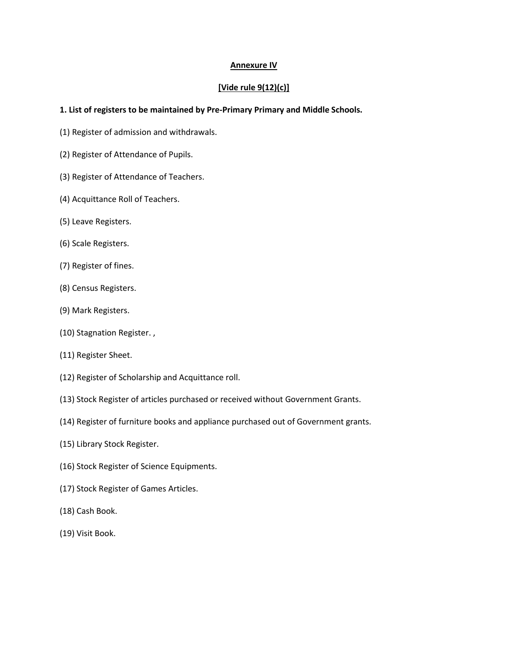### **Annexure IV**

### **[Vide rule 9(12)(c)]**

### **1. List of registers to be maintained by Pre-Primary Primary and Middle Schools.**

- (1) Register of admission and withdrawals.
- (2) Register of Attendance of Pupils.
- (3) Register of Attendance of Teachers.
- (4) Acquittance Roll of Teachers.
- (5) Leave Registers.
- (6) Scale Registers.
- (7) Register of fines.
- (8) Census Registers.
- (9) Mark Registers.
- (10) Stagnation Register. ,
- (11) Register Sheet.
- (12) Register of Scholarship and Acquittance roll.
- (13) Stock Register of articles purchased or received without Government Grants.
- (14) Register of furniture books and appliance purchased out of Government grants.
- (15) Library Stock Register.
- (16) Stock Register of Science Equipments.
- (17) Stock Register of Games Articles.
- (18) Cash Book.
- (19) Visit Book.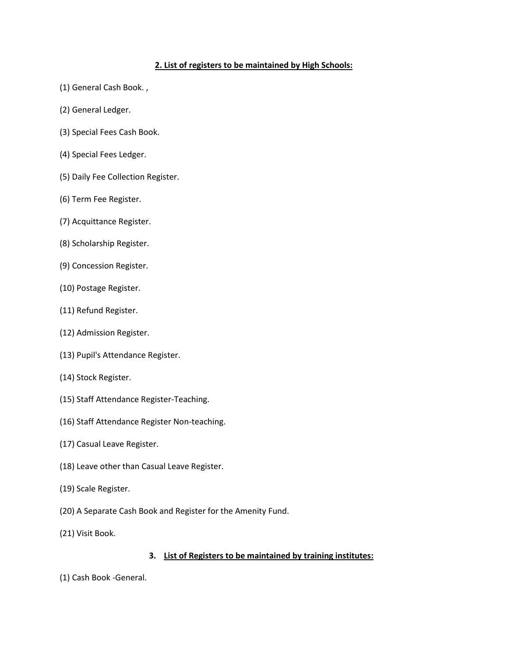## **2. List of registers to be maintained by High Schools:**

- (1) General Cash Book. ,
- (2) General Ledger.
- (3) Special Fees Cash Book.
- (4) Special Fees Ledger.
- (5) Daily Fee Collection Register.
- (6) Term Fee Register.
- (7) Acquittance Register.
- (8) Scholarship Register.
- (9) Concession Register.
- (10) Postage Register.
- (11) Refund Register.
- (12) Admission Register.
- (13) Pupil's Attendance Register.
- (14) Stock Register.
- (15) Staff Attendance Register-Teaching.
- (16) Staff Attendance Register Non-teaching.
- (17) Casual Leave Register.
- (18) Leave other than Casual Leave Register.
- (19) Scale Register.
- (20) A Separate Cash Book and Register for the Amenity Fund.
- (21) Visit Book.

## **3. List of Registers to be maintained by training institutes:**

(1) Cash Book -General.